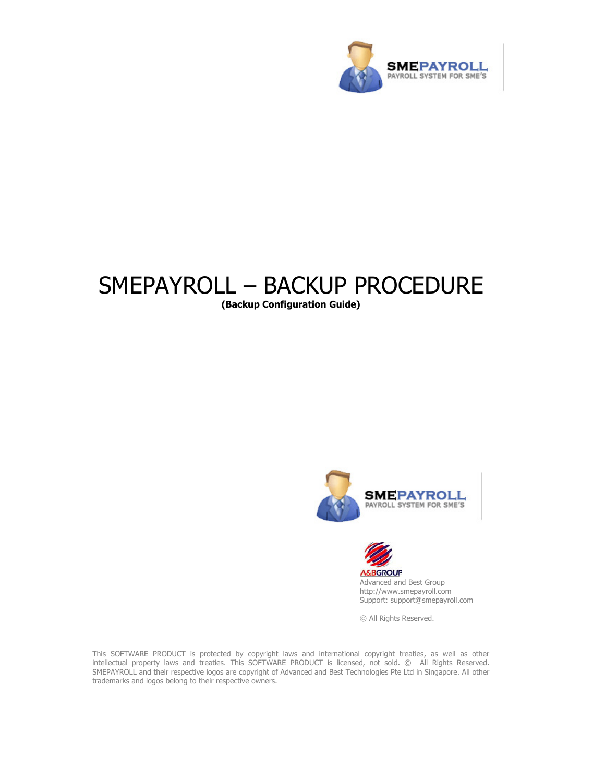

# SMEPAYROLL – BACKUP PROCEDURE

(Backup Configuration Guide)





Advanced and Best Group http://www.smepayroll.com Support: support@smepayroll.com

© All Rights Reserved.

This SOFTWARE PRODUCT is protected by copyright laws and international copyright treaties, as well as other intellectual property laws and treaties. This SOFTWARE PRODUCT is licensed, not sold. © All Rights Reserved. SMEPAYROLL and their respective logos are copyright of Advanced and Best Technologies Pte Ltd in Singapore. All other trademarks and logos belong to their respective owners.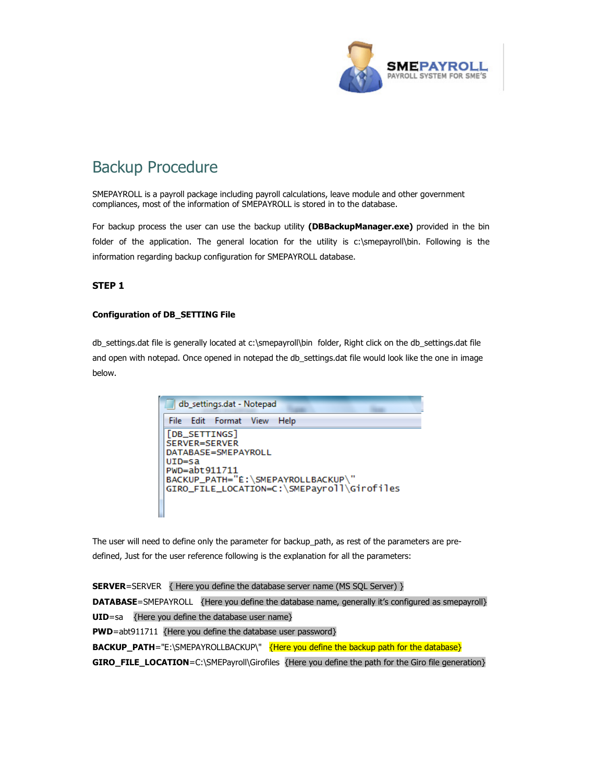

# Backup Procedure

SMEPAYROLL is a payroll package including payroll calculations, leave module and other government compliances, most of the information of SMEPAYROLL is stored in to the database.

For backup process the user can use the backup utility (DBBackupManager.exe) provided in the bin folder of the application. The general location for the utility is c:\smepayroll\bin. Following is the information regarding backup configuration for SMEPAYROLL database.

### STEP 1

#### Configuration of DB\_SETTING File

db\_settings.dat file is generally located at c:\smepayroll\bin folder, Right click on the db\_settings.dat file and open with notepad. Once opened in notepad the db\_settings.dat file would look like the one in image below.



The user will need to define only the parameter for backup\_path, as rest of the parameters are predefined, Just for the user reference following is the explanation for all the parameters:

**SERVER**=SERVER { Here you define the database server name (MS SQL Server) } DATABASE=SMEPAYROLL {Here you define the database name, generally it's configured as smepayroll} UID=sa {Here you define the database user name} PWD=abt911711 {Here you define the database user password} BACKUP\_PATH="E:\SMEPAYROLLBACKUP\" {Here you define the backup path for the database} GIRO\_FILE\_LOCATION=C:\SMEPayroll\Girofiles {Here you define the path for the Giro file generation}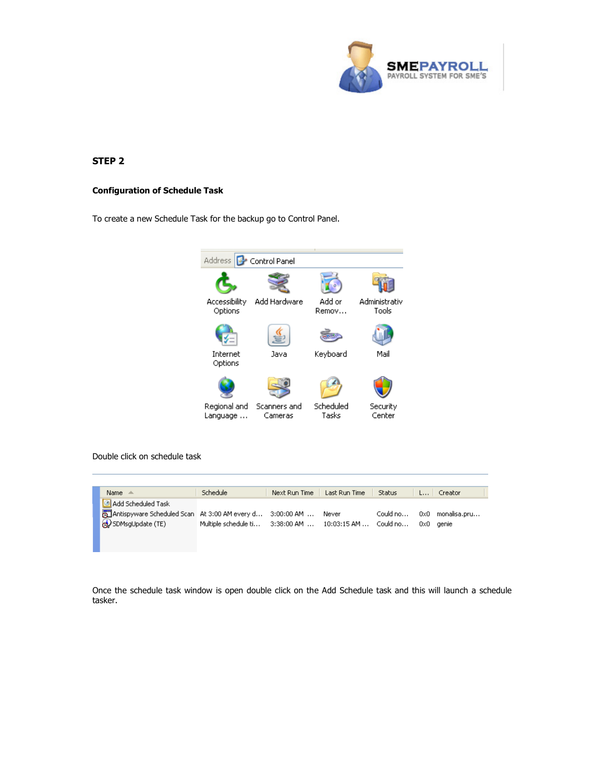

## STEP 2

#### Configuration of Schedule Task

To create a new Schedule Task for the backup go to Control Panel.



Double click on schedule task

| Name $\triangle$                                                  | Schedule                                                         | Next Run Time   Last Run Time   Status |  | $L$ Creator               |
|-------------------------------------------------------------------|------------------------------------------------------------------|----------------------------------------|--|---------------------------|
| add Scheduled Task                                                |                                                                  |                                        |  |                           |
| Antispyware Scheduled Scan   At 3:00 AM every d 3:00:00 AM  Never |                                                                  |                                        |  | Could no 0x0 monalisa.pru |
| SDMsgUpdate (TE)                                                  | Multiple schedule ti 3:38:00 AM  10:03:15 AM  Could no 0x0 genie |                                        |  |                           |
|                                                                   |                                                                  |                                        |  |                           |

Once the schedule task window is open double click on the Add Schedule task and this will launch a schedule tasker.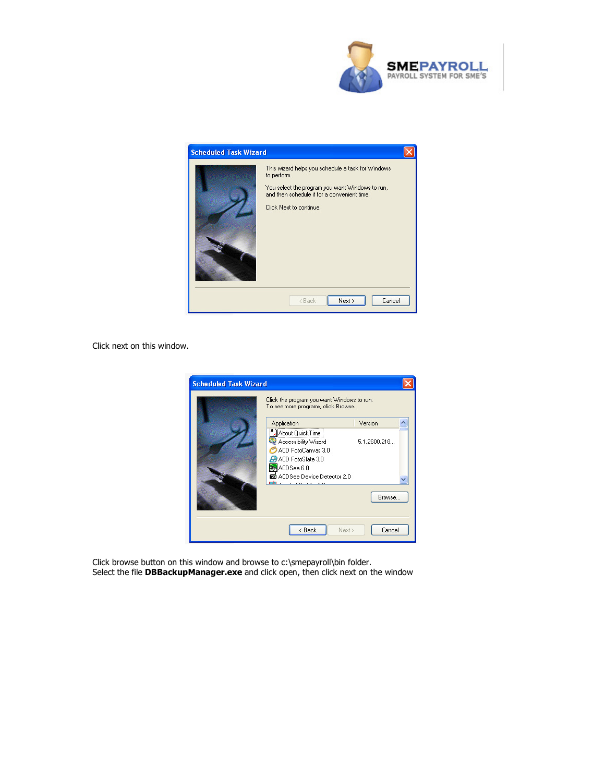



Click next on this window.

| <b>Scheduled Task Wizard</b> | Click the program you want Windows to run.<br>To see more programs, click Browse.                                                         |               |
|------------------------------|-------------------------------------------------------------------------------------------------------------------------------------------|---------------|
|                              | Application                                                                                                                               | Version       |
|                              | About Quick Time<br>Accessibility Wizard<br>ACD FotoCanvas 3.0<br>ACD FotoSlate 3.0<br>ACDSee 6.0<br><b>D</b> ACD See Device Detector 2.0 | 5.1.2600.218. |
|                              | min .<br>and the second con-                                                                                                              | Browse        |
|                              | < Back<br>Next >                                                                                                                          | Cancel        |

Click browse button on this window and browse to c:\smepayroll\bin folder. Select the file DBBackupManager.exe and click open, then click next on the window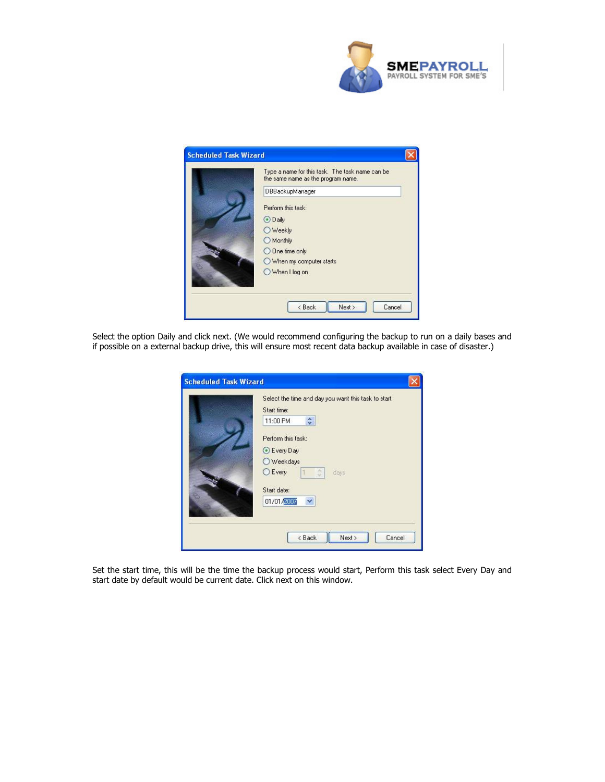



Select the option Daily and click next. (We would recommend configuring the backup to run on a daily bases and if possible on a external backup drive, this will ensure most recent data backup available in case of disaster.)

| Select the time and day you want this task to start. |
|------------------------------------------------------|
| Start time:                                          |
| $\hat{\cdot}$<br>11:00 PM                            |
| Perform this task:                                   |
| C Every Day                                          |
| Weekdays                                             |
| <b>O</b> Every<br>days                               |
| Start date:                                          |
| $\checkmark$<br>01/01/2007                           |
|                                                      |
|                                                      |

Set the start time, this will be the time the backup process would start, Perform this task select Every Day and start date by default would be current date. Click next on this window.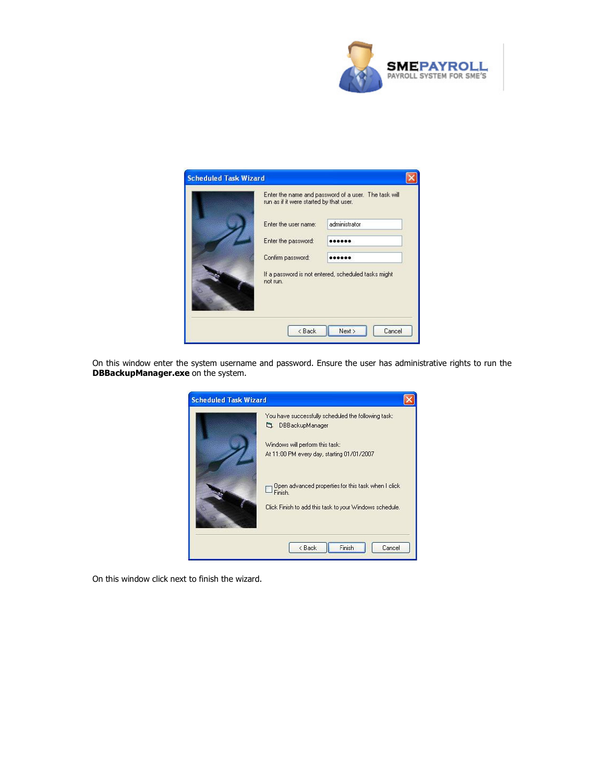

| <b>Scheduled Task Wizard</b> |                                                                 |                                                      |  |  |  |
|------------------------------|-----------------------------------------------------------------|------------------------------------------------------|--|--|--|
|                              | run as if it were started by that user.                         | Enter the name and password of a user. The task will |  |  |  |
|                              | Enter the user name:                                            | administrator                                        |  |  |  |
|                              | Enter the password:                                             |                                                      |  |  |  |
|                              | Confirm password:                                               |                                                      |  |  |  |
|                              | If a password is not entered, scheduled tasks might<br>not run. |                                                      |  |  |  |
|                              | < Back                                                          | Next<br>Cancel                                       |  |  |  |

On this window enter the system username and password. Ensure the user has administrative rights to run the **DBBackupManager.exe** on the system.



On this window click next to finish the wizard.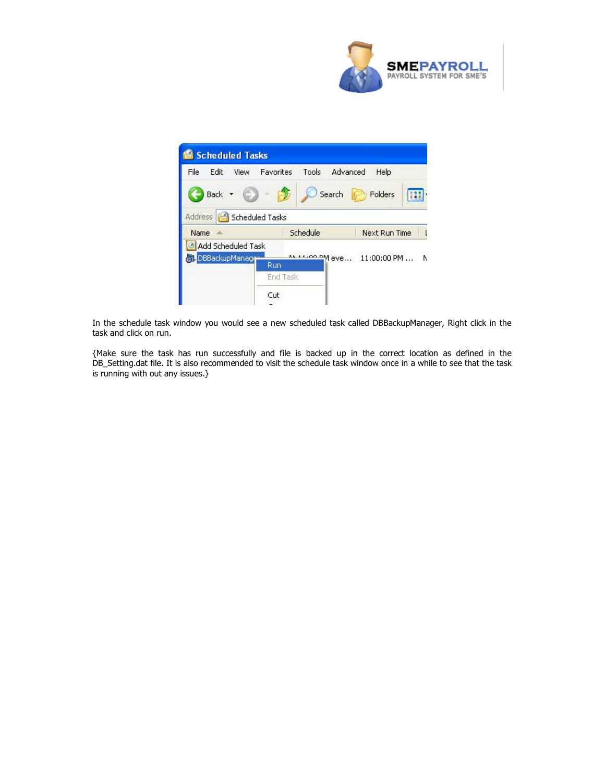



In the schedule task window you would see a new scheduled task called DBBackupManager, Right click in the task and click on run.

{Make sure the task has run successfully and file is backed up in the correct location as defined in the DB\_Setting.dat file. It is also recommended to visit the schedule task window once in a while to see that the task is running with out any issues.}